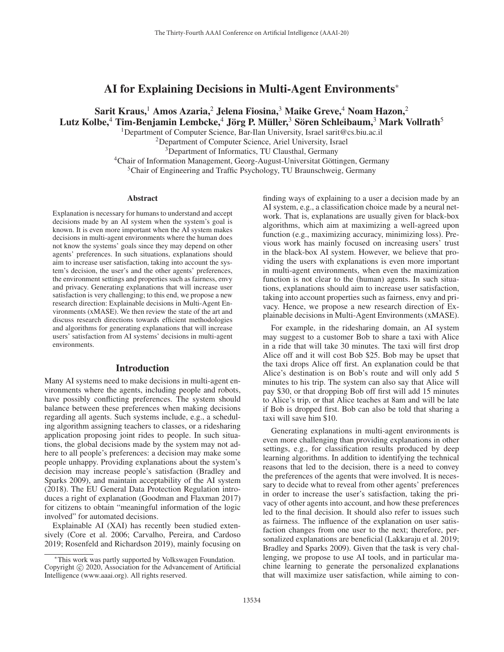# AI for Explaining Decisions in Multi-Agent Environments<sup>∗</sup>

Sarit Kraus,<sup>1</sup> Amos Azaria,<sup>2</sup> Jelena Fiosina,<sup>3</sup> Maike Greve,<sup>4</sup> Noam Hazon,<sup>2</sup> Lutz Kolbe,<sup>4</sup> Tim-Benjamin Lembcke,<sup>4</sup> Jörg P. Müller,<sup>3</sup> Sören Schleibaum,<sup>3</sup> Mark Vollrath<sup>5</sup>

1Department of Computer Science, Bar-Ilan University, Israel sarit@cs.biu.ac.il

2Department of Computer Science, Ariel University, Israel

<sup>3</sup>Department of Informatics, TU Clausthal, Germany

<sup>4</sup>Chair of Information Management, Georg-August-Universitat Göttingen, Germany

<sup>5</sup>Chair of Engineering and Traffic Psychology, TU Braunschweig, Germany

#### Abstract

Explanation is necessary for humans to understand and accept decisions made by an AI system when the system's goal is known. It is even more important when the AI system makes decisions in multi-agent environments where the human does not know the systems' goals since they may depend on other agents' preferences. In such situations, explanations should aim to increase user satisfaction, taking into account the system's decision, the user's and the other agents' preferences, the environment settings and properties such as fairness, envy and privacy. Generating explanations that will increase user satisfaction is very challenging; to this end, we propose a new research direction: Explainable decisions in Multi-Agent Environments (xMASE). We then review the state of the art and discuss research directions towards efficient methodologies and algorithms for generating explanations that will increase users' satisfaction from AI systems' decisions in multi-agent environments.

### Introduction

Many AI systems need to make decisions in multi-agent environments where the agents, including people and robots, have possibly conflicting preferences. The system should balance between these preferences when making decisions regarding all agents. Such systems include, e.g., a scheduling algorithm assigning teachers to classes, or a ridesharing application proposing joint rides to people. In such situations, the global decisions made by the system may not adhere to all people's preferences: a decision may make some people unhappy. Providing explanations about the system's decision may increase people's satisfaction (Bradley and Sparks 2009), and maintain acceptability of the AI system (2018). The EU General Data Protection Regulation introduces a right of explanation (Goodman and Flaxman 2017) for citizens to obtain "meaningful information of the logic involved" for automated decisions.

Explainable AI (XAI) has recently been studied extensively (Core et al. 2006; Carvalho, Pereira, and Cardoso 2019; Rosenfeld and Richardson 2019), mainly focusing on

finding ways of explaining to a user a decision made by an AI system, e.g., a classification choice made by a neural network. That is, explanations are usually given for black-box algorithms, which aim at maximizing a well-agreed upon function (e.g., maximizing accuracy, minimizing loss). Previous work has mainly focused on increasing users' trust in the black-box AI system. However, we believe that providing the users with explanations is even more important in multi-agent environments, when even the maximization function is not clear to the (human) agents. In such situations, explanations should aim to increase user satisfaction, taking into account properties such as fairness, envy and privacy. Hence, we propose a new research direction of Explainable decisions in Multi-Agent Environments (xMASE).

For example, in the ridesharing domain, an AI system may suggest to a customer Bob to share a taxi with Alice in a ride that will take 30 minutes. The taxi will first drop Alice off and it will cost Bob \$25. Bob may be upset that the taxi drops Alice off first. An explanation could be that Alice's destination is on Bob's route and will only add 5 minutes to his trip. The system can also say that Alice will pay \$30, or that dropping Bob off first will add 15 minutes to Alice's trip, or that Alice teaches at 8am and will be late if Bob is dropped first. Bob can also be told that sharing a taxi will save him \$10.

Generating explanations in multi-agent environments is even more challenging than providing explanations in other settings, e.g., for classification results produced by deep learning algorithms. In addition to identifying the technical reasons that led to the decision, there is a need to convey the preferences of the agents that were involved. It is necessary to decide what to reveal from other agents' preferences in order to increase the user's satisfaction, taking the privacy of other agents into account, and how these preferences led to the final decision. It should also refer to issues such as fairness. The influence of the explanation on user satisfaction changes from one user to the next; therefore, personalized explanations are beneficial (Lakkaraju et al. 2019; Bradley and Sparks 2009). Given that the task is very challenging, we propose to use AI tools, and in particular machine learning to generate the personalized explanations that will maximize user satisfaction, while aiming to con-

<sup>∗</sup>This work was partly supported by Volkswagen Foundation. Copyright  $\odot$  2020, Association for the Advancement of Artificial Intelligence (www.aaai.org). All rights reserved.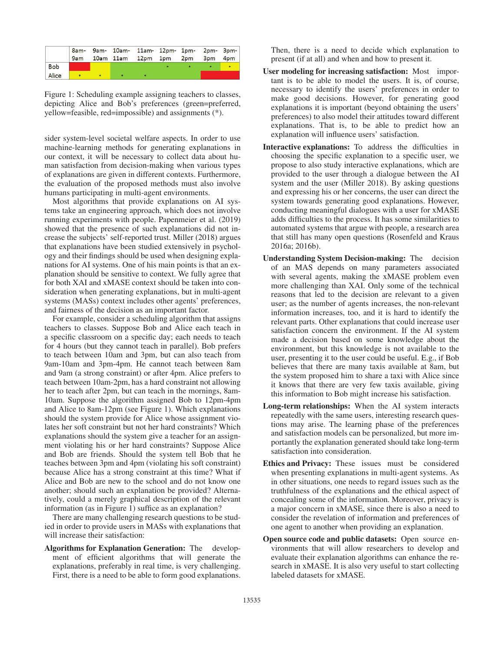|              | 9am | 8am- 9am- 10am- 11am- 12pm- 1pm- 2pm- 3pm-<br>10am 11am 12pm 1pm 2pm 3pm 4pm |   |  |  |
|--------------|-----|------------------------------------------------------------------------------|---|--|--|
| <b>Bob</b>   |     |                                                                              |   |  |  |
| <b>Alice</b> |     |                                                                              | 唐 |  |  |

Figure 1: Scheduling example assigning teachers to classes, depicting Alice and Bob's preferences (green=preferred, yellow=feasible, red=impossible) and assignments (\*).

sider system-level societal welfare aspects. In order to use machine-learning methods for generating explanations in our context, it will be necessary to collect data about human satisfaction from decision-making when various types of explanations are given in different contexts. Furthermore, the evaluation of the proposed methods must also involve humans participating in multi-agent environments.

Most algorithms that provide explanations on AI systems take an engineering approach, which does not involve running experiments with people. Papenmeier et al. (2019) showed that the presence of such explanations did not increase the subjects' self-reported trust. Miller (2018) argues that explanations have been studied extensively in psychology and their findings should be used when designing explanations for AI systems. One of his main points is that an explanation should be sensitive to context. We fully agree that for both XAI and xMASE context should be taken into consideration when generating explanations, but in multi-agent systems (MASs) context includes other agents' preferences, and fairness of the decision as an important factor.

For example, consider a scheduling algorithm that assigns teachers to classes. Suppose Bob and Alice each teach in a specific classroom on a specific day; each needs to teach for 4 hours (but they cannot teach in parallel). Bob prefers to teach between 10am and 3pm, but can also teach from 9am-10am and 3pm-4pm. He cannot teach between 8am and 9am (a strong constraint) or after 4pm. Alice prefers to teach between 10am-2pm, has a hard constraint not allowing her to teach after 2pm, but can teach in the mornings, 8am-10am. Suppose the algorithm assigned Bob to 12pm-4pm and Alice to 8am-12pm (see Figure 1). Which explanations should the system provide for Alice whose assignment violates her soft constraint but not her hard constraints? Which explanations should the system give a teacher for an assignment violating his or her hard constraints? Suppose Alice and Bob are friends. Should the system tell Bob that he teaches between 3pm and 4pm (violating his soft constraint) because Alice has a strong constraint at this time? What if Alice and Bob are new to the school and do not know one another; should such an explanation be provided? Alternatively, could a merely graphical description of the relevant information (as in Figure 1) suffice as an explanation?

There are many challenging research questions to be studied in order to provide users in MASs with explanations that will increase their satisfaction:

Algorithms for Explanation Generation: The development of efficient algorithms that will generate the explanations, preferably in real time, is very challenging. First, there is a need to be able to form good explanations.

Then, there is a need to decide which explanation to present (if at all) and when and how to present it.

- User modeling for increasing satisfaction: Most important is to be able to model the users. It is, of course, necessary to identify the users' preferences in order to make good decisions. However, for generating good explanations it is important (beyond obtaining the users' preferences) to also model their attitudes toward different explanations. That is, to be able to predict how an explanation will influence users' satisfaction.
- Interactive explanations: To address the difficulties in choosing the specific explanation to a specific user, we propose to also study interactive explanations, which are provided to the user through a dialogue between the AI system and the user (Miller 2018). By asking questions and expressing his or her concerns, the user can direct the system towards generating good explanations. However, conducting meaningful dialogues with a user for xMASE adds difficulties to the process. It has some similarities to automated systems that argue with people, a research area that still has many open questions (Rosenfeld and Kraus 2016a; 2016b).
- Understanding System Decision-making: The decision of an MAS depends on many parameters associated with several agents, making the xMASE problem even more challenging than XAI. Only some of the technical reasons that led to the decision are relevant to a given user; as the number of agents increases, the non-relevant information increases, too, and it is hard to identify the relevant parts. Other explanations that could increase user satisfaction concern the environment. If the AI system made a decision based on some knowledge about the environment, but this knowledge is not available to the user, presenting it to the user could be useful. E.g., if Bob believes that there are many taxis available at 8am, but the system proposed him to share a taxi with Alice since it knows that there are very few taxis available, giving this information to Bob might increase his satisfaction.
- Long-term relationships: When the AI system interacts repeatedly with the same users, interesting research questions may arise. The learning phase of the preferences and satisfaction models can be personalized, but more importantly the explanation generated should take long-term satisfaction into consideration.
- Ethics and Privacy: These issues must be considered when presenting explanations in multi-agent systems. As in other situations, one needs to regard issues such as the truthfulness of the explanations and the ethical aspect of concealing some of the information. Moreover, privacy is a major concern in xMASE, since there is also a need to consider the revelation of information and preferences of one agent to another when providing an explanation.
- Open source code and public datasets: Open source environments that will allow researchers to develop and evaluate their explanation algorithms can enhance the research in xMASE. It is also very useful to start collecting labeled datasets for xMASE.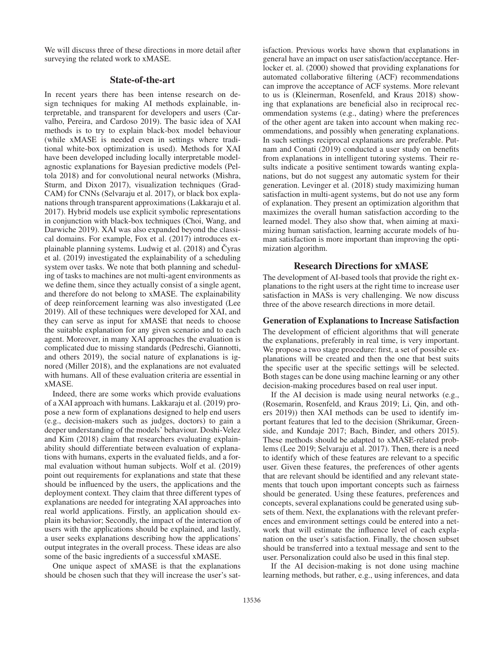We will discuss three of these directions in more detail after surveying the related work to xMASE.

## State-of-the-art

In recent years there has been intense research on design techniques for making AI methods explainable, interpretable, and transparent for developers and users (Carvalho, Pereira, and Cardoso 2019). The basic idea of XAI methods is to try to explain black-box model behaviour (while xMASE is needed even in settings where traditional white-box optimization is used). Methods for XAI have been developed including locally interpretable modelagnostic explanations for Bayesian predictive models (Peltola 2018) and for convolutional neural networks (Mishra, Sturm, and Dixon 2017), visualization techniques (Grad-CAM) for CNNs (Selvaraju et al. 2017), or black box explanations through transparent approximations (Lakkaraju et al. 2017). Hybrid models use explicit symbolic representations in conjunction with black-box techniques (Choi, Wang, and Darwiche 2019). XAI was also expanded beyond the classical domains. For example, Fox et al. (2017) introduces explainable planning systems. Ludwig et al.  $(2018)$  and  $\check{C}$ yras et al. (2019) investigated the explainability of a scheduling system over tasks. We note that both planning and scheduling of tasks to machines are not multi-agent environments as we define them, since they actually consist of a single agent, and therefore do not belong to xMASE. The explainability of deep reinforcement learning was also investigated (Lee 2019). All of these techniques were developed for XAI, and they can serve as input for xMASE that needs to choose the suitable explanation for any given scenario and to each agent. Moreover, in many XAI approaches the evaluation is complicated due to missing standards (Pedreschi, Giannotti, and others 2019), the social nature of explanations is ignored (Miller 2018), and the explanations are not evaluated with humans. All of these evaluation criteria are essential in xMASE.

Indeed, there are some works which provide evaluations of a XAI approach with humans. Lakkaraju et al. (2019) propose a new form of explanations designed to help end users (e.g., decision-makers such as judges, doctors) to gain a deeper understanding of the models' behaviour. Doshi-Velez and Kim (2018) claim that researchers evaluating explainability should differentiate between evaluation of explanations with humans, experts in the evaluated fields, and a formal evaluation without human subjects. Wolf et al. (2019) point out requirements for explanations and state that these should be influenced by the users, the applications and the deployment context. They claim that three different types of explanations are needed for integrating XAI approaches into real world applications. Firstly, an application should explain its behavior; Secondly, the impact of the interaction of users with the applications should be explained, and lastly, a user seeks explanations describing how the applications' output integrates in the overall process. These ideas are also some of the basic ingredients of a successful xMASE.

One unique aspect of xMASE is that the explanations should be chosen such that they will increase the user's satisfaction. Previous works have shown that explanations in general have an impact on user satisfaction/acceptance. Herlocker et. al. (2000) showed that providing explanations for automated collaborative filtering (ACF) recommendations can improve the acceptance of ACF systems. More relevant to us is (Kleinerman, Rosenfeld, and Kraus 2018) showing that explanations are beneficial also in reciprocal recommendation systems (e.g., dating) where the preferences of the other agent are taken into account when making recommendations, and possibly when generating explanations. In such settings reciprocal explanations are preferable. Putnam and Conati (2019) conducted a user study on benefits from explanations in intelligent tutoring systems. Their results indicate a positive sentiment towards wanting explanations, but do not suggest any automatic system for their generation. Levinger et al. (2018) study maximizing human satisfaction in multi-agent systems, but do not use any form of explanation. They present an optimization algorithm that maximizes the overall human satisfaction according to the learned model. They also show that, when aiming at maximizing human satisfaction, learning accurate models of human satisfaction is more important than improving the optimization algorithm.

### Research Directions for xMASE

The development of AI-based tools that provide the right explanations to the right users at the right time to increase user satisfaction in MASs is very challenging. We now discuss three of the above research directions in more detail.

## Generation of Explanations to Increase Satisfaction

The development of efficient algorithms that will generate the explanations, preferably in real time, is very important. We propose a two stage procedure: first, a set of possible explanations will be created and then the one that best suits the specific user at the specific settings will be selected. Both stages can be done using machine learning or any other decision-making procedures based on real user input.

If the AI decision is made using neural networks (e.g., (Rosemarin, Rosenfeld, and Kraus 2019; Li, Qin, and others 2019)) then XAI methods can be used to identify important features that led to the decision (Shrikumar, Greenside, and Kundaje 2017; Bach, Binder, and others 2015). These methods should be adapted to xMASE-related problems (Lee 2019; Selvaraju et al. 2017). Then, there is a need to identify which of these features are relevant to a specific user. Given these features, the preferences of other agents that are relevant should be identified and any relevant statements that touch upon important concepts such as fairness should be generated. Using these features, preferences and concepts, several explanations could be generated using subsets of them. Next, the explanations with the relevant preferences and environment settings could be entered into a network that will estimate the influence level of each explanation on the user's satisfaction. Finally, the chosen subset should be transferred into a textual message and sent to the user. Personalization could also be used in this final step.

If the AI decision-making is not done using machine learning methods, but rather, e.g., using inferences, and data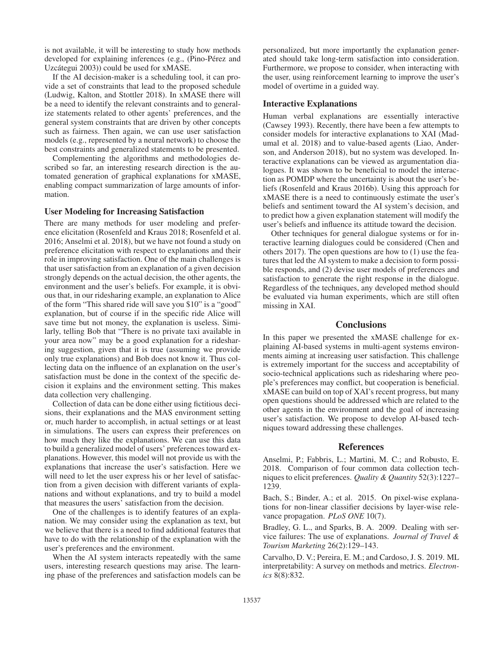is not available, it will be interesting to study how methods developed for explaining inferences (e.g., (Pino-Pérez and Uzcátegui 2003)) could be used for xMASE.

If the AI decision-maker is a scheduling tool, it can provide a set of constraints that lead to the proposed schedule (Ludwig, Kalton, and Stottler 2018). In xMASE there will be a need to identify the relevant constraints and to generalize statements related to other agents' preferences, and the general system constraints that are driven by other concepts such as fairness. Then again, we can use user satisfaction models (e.g., represented by a neural network) to choose the best constraints and generalized statements to be presented.

Complementing the algorithms and methodologies described so far, an interesting research direction is the automated generation of graphical explanations for xMASE, enabling compact summarization of large amounts of information.

#### User Modeling for Increasing Satisfaction

There are many methods for user modeling and preference elicitation (Rosenfeld and Kraus 2018; Rosenfeld et al. 2016; Anselmi et al. 2018), but we have not found a study on preference elicitation with respect to explanations and their role in improving satisfaction. One of the main challenges is that user satisfaction from an explanation of a given decision strongly depends on the actual decision, the other agents, the environment and the user's beliefs. For example, it is obvious that, in our ridesharing example, an explanation to Alice of the form "This shared ride will save you \$10" is a "good" explanation, but of course if in the specific ride Alice will save time but not money, the explanation is useless. Similarly, telling Bob that "There is no private taxi available in your area now" may be a good explanation for a ridesharing suggestion, given that it is true (assuming we provide only true explanations) and Bob does not know it. Thus collecting data on the influence of an explanation on the user's satisfaction must be done in the context of the specific decision it explains and the environment setting. This makes data collection very challenging.

Collection of data can be done either using fictitious decisions, their explanations and the MAS environment setting or, much harder to accomplish, in actual settings or at least in simulations. The users can express their preferences on how much they like the explanations. We can use this data to build a generalized model of users' preferences toward explanations. However, this model will not provide us with the explanations that increase the user's satisfaction. Here we will need to let the user express his or her level of satisfaction from a given decision with different variants of explanations and without explanations, and try to build a model that measures the users' satisfaction from the decision.

One of the challenges is to identify features of an explanation. We may consider using the explanation as text, but we believe that there is a need to find additional features that have to do with the relationship of the explanation with the user's preferences and the environment.

When the AI system interacts repeatedly with the same users, interesting research questions may arise. The learning phase of the preferences and satisfaction models can be

personalized, but more importantly the explanation generated should take long-term satisfaction into consideration. Furthermore, we propose to consider, when interacting with the user, using reinforcement learning to improve the user's model of overtime in a guided way.

### Interactive Explanations

Human verbal explanations are essentially interactive (Cawsey 1993). Recently, there have been a few attempts to consider models for interactive explanations to XAI (Madumal et al. 2018) and to value-based agents (Liao, Anderson, and Anderson 2018), but no system was developed. Interactive explanations can be viewed as argumentation dialogues. It was shown to be beneficial to model the interaction as POMDP where the uncertainty is about the user's beliefs (Rosenfeld and Kraus 2016b). Using this approach for xMASE there is a need to continuously estimate the user's beliefs and sentiment toward the AI system's decision, and to predict how a given explanation statement will modify the user's beliefs and influence its attitude toward the decision.

Other techniques for general dialogue systems or for interactive learning dialogues could be considered (Chen and others 2017). The open questions are how to (1) use the features that led the AI system to make a decision to form possible responds, and (2) devise user models of preferences and satisfaction to generate the right response in the dialogue. Regardless of the techniques, any developed method should be evaluated via human experiments, which are still often missing in XAI.

### **Conclusions**

In this paper we presented the xMASE challenge for explaining AI-based systems in multi-agent systems environments aiming at increasing user satisfaction. This challenge is extremely important for the success and acceptability of socio-technical applications such as ridesharing where people's preferences may conflict, but cooperation is beneficial. xMASE can build on top of XAI's recent progress, but many open questions should be addressed which are related to the other agents in the environment and the goal of increasing user's satisfaction. We propose to develop AI-based techniques toward addressing these challenges.

#### References

Anselmi, P.; Fabbris, L.; Martini, M. C.; and Robusto, E. 2018. Comparison of four common data collection techniques to elicit preferences. *Quality & Quantity* 52(3):1227– 1239.

Bach, S.; Binder, A.; et al. 2015. On pixel-wise explanations for non-linear classifier decisions by layer-wise relevance propagation. *PLoS ONE* 10(7).

Bradley, G. L., and Sparks, B. A. 2009. Dealing with service failures: The use of explanations. *Journal of Travel & Tourism Marketing* 26(2):129–143.

Carvalho, D. V.; Pereira, E. M.; and Cardoso, J. S. 2019. ML interpretability: A survey on methods and metrics. *Electronics* 8(8):832.